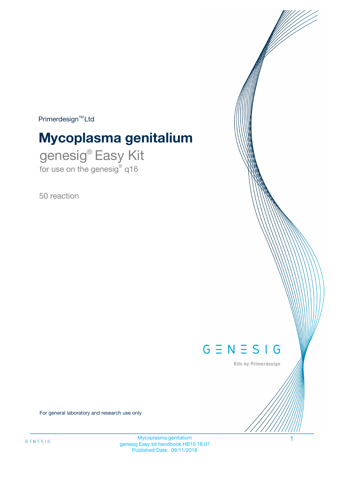$Primerdesign^{\text{TM}}Ltd$ 

# **Mycoplasma genitalium**

genesig® Easy Kit for use on the genesig® q16

50 reaction



Kits by Primerdesign

For general laboratory and research use only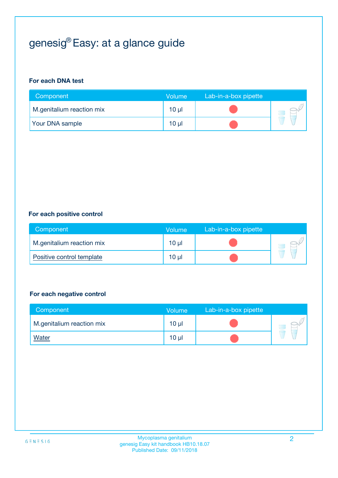# genesig® Easy: at a glance guide

#### **For each DNA test**

| Component                 | <b>Volume</b> | Lab-in-a-box pipette |  |
|---------------------------|---------------|----------------------|--|
| M.genitalium reaction mix | 10 µl         |                      |  |
| <b>Your DNA sample</b>    | 10 µl         |                      |  |

#### **For each positive control**

| Component                 | Volume          | Lab-in-a-box pipette |  |
|---------------------------|-----------------|----------------------|--|
| M.genitalium reaction mix | 10 <sub>µ</sub> |                      |  |
| Positive control template | 10 µl           |                      |  |

#### **For each negative control**

| Component                 | <b>Volume</b>   | Lab-in-a-box pipette |  |
|---------------------------|-----------------|----------------------|--|
| M.genitalium reaction mix | 10 <sub>µ</sub> |                      |  |
| <u>Water</u>              | 10 <sub>µ</sub> |                      |  |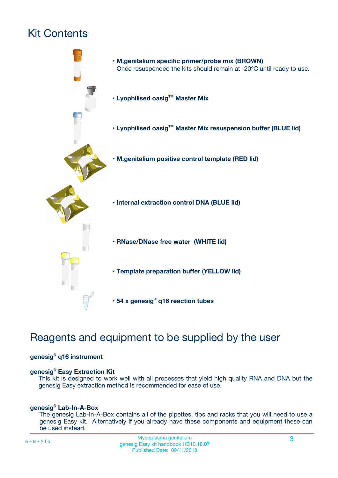# Kit Contents



## Reagents and equipment to be supplied by the user

#### **genesig® q16 instrument**

#### **genesig® Easy Extraction Kit**

This kit is designed to work well with all processes that yield high quality RNA and DNA but the genesig Easy extraction method is recommended for ease of use.

#### **genesig® Lab-In-A-Box**

The genesig Lab-In-A-Box contains all of the pipettes, tips and racks that you will need to use a genesig Easy kit. Alternatively if you already have these components and equipment these can be used instead.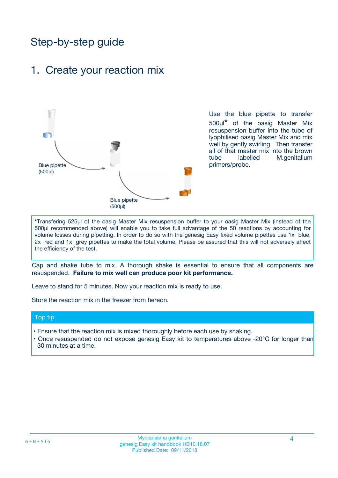## Step-by-step guide

### 1. Create your reaction mix



Use the blue pipette to transfer 500µl**\*** of the oasig Master Mix resuspension buffer into the tube of lyophilised oasig Master Mix and mix well by gently swirling. Then transfer all of that master mix into the brown tube labelled M.genitalium primers/probe.

**\***Transfering 525µl of the oasig Master Mix resuspension buffer to your oasig Master Mix (instead of the 500µl recommended above) will enable you to take full advantage of the 50 reactions by accounting for volume losses during pipetting. In order to do so with the genesig Easy fixed volume pipettes use 1x blue, 2x red and 1x grey pipettes to make the total volume. Please be assured that this will not adversely affect the efficiency of the test.

Cap and shake tube to mix. A thorough shake is essential to ensure that all components are resuspended. **Failure to mix well can produce poor kit performance.**

Leave to stand for 5 minutes. Now your reaction mix is ready to use.

Store the reaction mix in the freezer from hereon.

#### Top tip

- Ensure that the reaction mix is mixed thoroughly before each use by shaking.
- **•** Once resuspended do not expose genesig Easy kit to temperatures above -20°C for longer than 30 minutes at a time.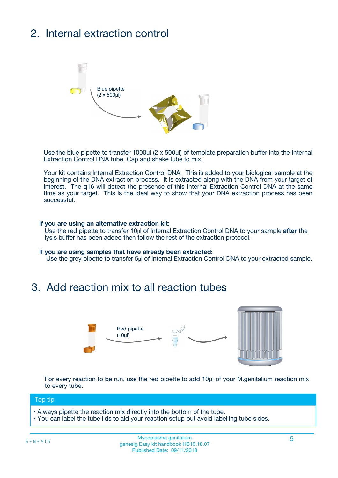# 2. Internal extraction control



Use the blue pipette to transfer 1000µl (2 x 500µl) of template preparation buffer into the Internal Extraction Control DNA tube. Cap and shake tube to mix.

Your kit contains Internal Extraction Control DNA. This is added to your biological sample at the beginning of the DNA extraction process. It is extracted along with the DNA from your target of interest. The q16 will detect the presence of this Internal Extraction Control DNA at the same time as your target. This is the ideal way to show that your DNA extraction process has been **successful.** 

#### **If you are using an alternative extraction kit:**

Use the red pipette to transfer 10µl of Internal Extraction Control DNA to your sample **after** the lysis buffer has been added then follow the rest of the extraction protocol.

#### **If you are using samples that have already been extracted:**

Use the grey pipette to transfer 5µl of Internal Extraction Control DNA to your extracted sample.

### 3. Add reaction mix to all reaction tubes



For every reaction to be run, use the red pipette to add 10µl of your M.genitalium reaction mix to every tube.

#### Top tip

- Always pipette the reaction mix directly into the bottom of the tube.
- You can label the tube lids to aid your reaction setup but avoid labelling tube sides.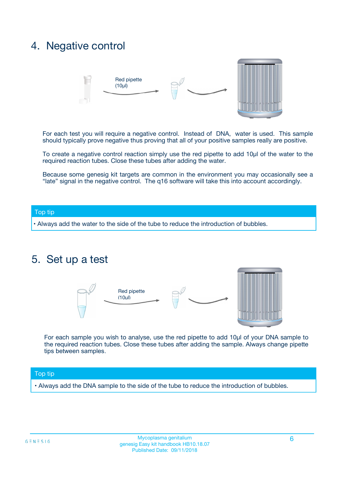### 4. Negative control



For each test you will require a negative control. Instead of DNA, water is used. This sample should typically prove negative thus proving that all of your positive samples really are positive.

To create a negative control reaction simply use the red pipette to add 10µl of the water to the required reaction tubes. Close these tubes after adding the water.

Because some genesig kit targets are common in the environment you may occasionally see a "late" signal in the negative control. The q16 software will take this into account accordingly.

#### Top tip

**•** Always add the water to the side of the tube to reduce the introduction of bubbles.

### 5. Set up a test



For each sample you wish to analyse, use the red pipette to add 10µl of your DNA sample to the required reaction tubes. Close these tubes after adding the sample. Always change pipette tips between samples.

#### Top tip

**•** Always add the DNA sample to the side of the tube to reduce the introduction of bubbles.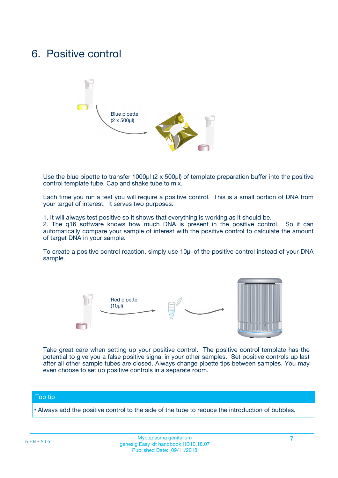### 6. Positive control



Use the blue pipette to transfer 1000µl (2 x 500µl) of template preparation buffer into the positive control template tube. Cap and shake tube to mix.

Each time you run a test you will require a positive control. This is a small portion of DNA from your target of interest. It serves two purposes:

1. It will always test positive so it shows that everything is working as it should be.

2. The q16 software knows how much DNA is present in the positive control. So it can automatically compare your sample of interest with the positive control to calculate the amount of target DNA in your sample.

To create a positive control reaction, simply use 10µl of the positive control instead of your DNA sample.



Take great care when setting up your positive control. The positive control template has the potential to give you a false positive signal in your other samples. Set positive controls up last after all other sample tubes are closed. Always change pipette tips between samples. You may even choose to set up positive controls in a separate room.

#### Top tip

**•** Always add the positive control to the side of the tube to reduce the introduction of bubbles.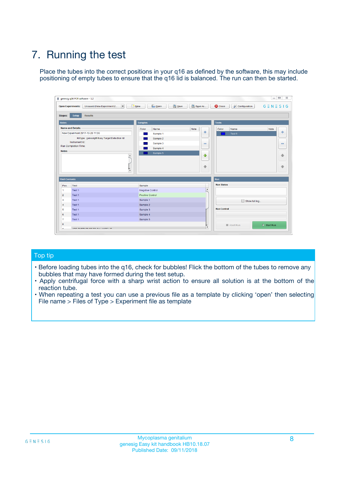# 7. Running the test

Place the tubes into the correct positions in your q16 as defined by the software, this may include positioning of empty tubes to ensure that the q16 lid is balanced. The run can then be started.

| qenesig q16 PCR software - 1.2                                               |                                   | $\Box$                                                                                          |
|------------------------------------------------------------------------------|-----------------------------------|-------------------------------------------------------------------------------------------------|
| $\vert \cdot \vert$<br>Unsaved (New Experiment 2<br><b>Open Experiments:</b> | <b>D</b> Open<br>R <sub>New</sub> | Save<br>Save As<br><b>C</b> Close<br><b>&amp; Configuration</b><br>$G \equiv N \equiv S \mid G$ |
| <b>Setup</b><br><b>Results</b><br>Stages:                                    |                                   |                                                                                                 |
| <b>Notes</b>                                                                 | <b>Samples</b>                    | <b>Tests</b>                                                                                    |
| <b>Name and Details</b>                                                      | Name<br>Color                     | Note<br>Color<br>Note<br>Name                                                                   |
| New Experiment 2017-10-26 11:06                                              | Sample 1                          | ÷<br>条<br>Test 1                                                                                |
| Kit type: genesig® Easy Target Detection kit                                 | Sample 2                          |                                                                                                 |
| Instrument Id.:                                                              | Sample 3                          | $\qquad \qquad \blacksquare$<br>$\qquad \qquad \blacksquare$                                    |
| <b>Run Completion Time:</b>                                                  | Sample 4                          |                                                                                                 |
| <b>Notes</b><br><b>A</b><br>$\overline{\mathbf v}$                           | Sample 5                          | ♦<br>4<br>÷<br>₩                                                                                |
| <b>Well Contents</b>                                                         |                                   | <b>Run</b>                                                                                      |
| Pos.<br>Test                                                                 | Sample                            | <b>Run Status</b>                                                                               |
| Test 1<br>$\blacktriangleleft$                                               | Negative Control                  | $\blacktriangle$                                                                                |
| $\overline{2}$<br>Test 1                                                     | <b>Positive Control</b>           |                                                                                                 |
| $\overline{\mathbf{3}}$<br>Test 1                                            | Sample 1                          | Show full log                                                                                   |
| Test 1<br>4                                                                  | Sample 2                          |                                                                                                 |
| 5<br>Test 1                                                                  | Sample 3                          | <b>Run Control</b>                                                                              |
| Test 1<br>6                                                                  | Sample 4                          |                                                                                                 |
| $\overline{7}$<br>Test 1                                                     | Sample 5                          |                                                                                                 |
| 8                                                                            |                                   | $\triangleright$ Start Run<br>Abort Run                                                         |
| <b>JOD FURTY TUDE TO BUILDED IN</b>                                          |                                   | $\overline{\mathbf{v}}$                                                                         |

#### Top tip

- Before loading tubes into the q16, check for bubbles! Flick the bottom of the tubes to remove any bubbles that may have formed during the test setup.
- Apply centrifugal force with a sharp wrist action to ensure all solution is at the bottom of the reaction tube.
- When repeating a test you can use a previous file as a template by clicking 'open' then selecting File name > Files of Type > Experiment file as template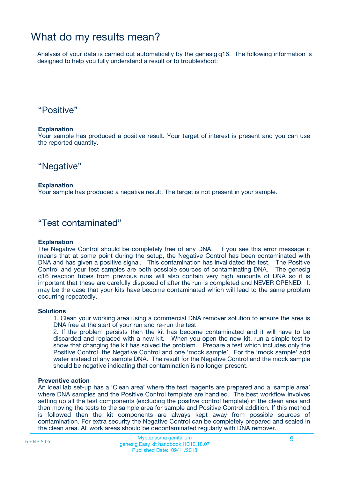## What do my results mean?

Analysis of your data is carried out automatically by the genesig q16. The following information is designed to help you fully understand a result or to troubleshoot:

### "Positive"

#### **Explanation**

Your sample has produced a positive result. Your target of interest is present and you can use the reported quantity.

"Negative"

#### **Explanation**

Your sample has produced a negative result. The target is not present in your sample.

### "Test contaminated"

#### **Explanation**

The Negative Control should be completely free of any DNA. If you see this error message it means that at some point during the setup, the Negative Control has been contaminated with DNA and has given a positive signal. This contamination has invalidated the test. The Positive Control and your test samples are both possible sources of contaminating DNA. The genesig q16 reaction tubes from previous runs will also contain very high amounts of DNA so it is important that these are carefully disposed of after the run is completed and NEVER OPENED. It may be the case that your kits have become contaminated which will lead to the same problem occurring repeatedly.

#### **Solutions**

1. Clean your working area using a commercial DNA remover solution to ensure the area is DNA free at the start of your run and re-run the test

2. If the problem persists then the kit has become contaminated and it will have to be discarded and replaced with a new kit. When you open the new kit, run a simple test to show that changing the kit has solved the problem. Prepare a test which includes only the Positive Control, the Negative Control and one 'mock sample'. For the 'mock sample' add water instead of any sample DNA. The result for the Negative Control and the mock sample should be negative indicating that contamination is no longer present.

#### **Preventive action**

An ideal lab set-up has a 'Clean area' where the test reagents are prepared and a 'sample area' where DNA samples and the Positive Control template are handled. The best workflow involves setting up all the test components (excluding the positive control template) in the clean area and then moving the tests to the sample area for sample and Positive Control addition. If this method is followed then the kit components are always kept away from possible sources of contamination. For extra security the Negative Control can be completely prepared and sealed in the clean area. All work areas should be decontaminated regularly with DNA remover.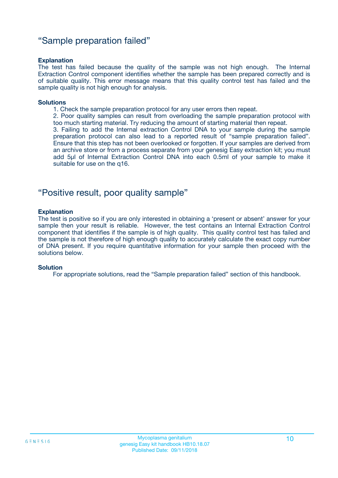### "Sample preparation failed"

#### **Explanation**

The test has failed because the quality of the sample was not high enough. The Internal Extraction Control component identifies whether the sample has been prepared correctly and is of suitable quality. This error message means that this quality control test has failed and the sample quality is not high enough for analysis.

#### **Solutions**

1. Check the sample preparation protocol for any user errors then repeat.

2. Poor quality samples can result from overloading the sample preparation protocol with too much starting material. Try reducing the amount of starting material then repeat.

3. Failing to add the Internal extraction Control DNA to your sample during the sample preparation protocol can also lead to a reported result of "sample preparation failed". Ensure that this step has not been overlooked or forgotten. If your samples are derived from an archive store or from a process separate from your genesig Easy extraction kit; you must add 5µl of Internal Extraction Control DNA into each 0.5ml of your sample to make it suitable for use on the q16.

### "Positive result, poor quality sample"

#### **Explanation**

The test is positive so if you are only interested in obtaining a 'present or absent' answer for your sample then your result is reliable. However, the test contains an Internal Extraction Control component that identifies if the sample is of high quality. This quality control test has failed and the sample is not therefore of high enough quality to accurately calculate the exact copy number of DNA present. If you require quantitative information for your sample then proceed with the solutions below.

#### **Solution**

For appropriate solutions, read the "Sample preparation failed" section of this handbook.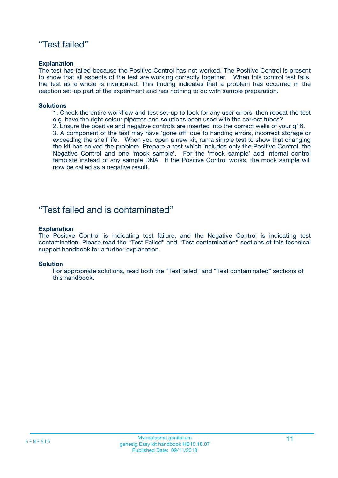### "Test failed"

#### **Explanation**

The test has failed because the Positive Control has not worked. The Positive Control is present to show that all aspects of the test are working correctly together. When this control test fails, the test as a whole is invalidated. This finding indicates that a problem has occurred in the reaction set-up part of the experiment and has nothing to do with sample preparation.

#### **Solutions**

- 1. Check the entire workflow and test set-up to look for any user errors, then repeat the test e.g. have the right colour pipettes and solutions been used with the correct tubes?
- 2. Ensure the positive and negative controls are inserted into the correct wells of your q16.

3. A component of the test may have 'gone off' due to handing errors, incorrect storage or exceeding the shelf life. When you open a new kit, run a simple test to show that changing the kit has solved the problem. Prepare a test which includes only the Positive Control, the Negative Control and one 'mock sample'. For the 'mock sample' add internal control template instead of any sample DNA. If the Positive Control works, the mock sample will now be called as a negative result.

### "Test failed and is contaminated"

#### **Explanation**

The Positive Control is indicating test failure, and the Negative Control is indicating test contamination. Please read the "Test Failed" and "Test contamination" sections of this technical support handbook for a further explanation.

#### **Solution**

For appropriate solutions, read both the "Test failed" and "Test contaminated" sections of this handbook.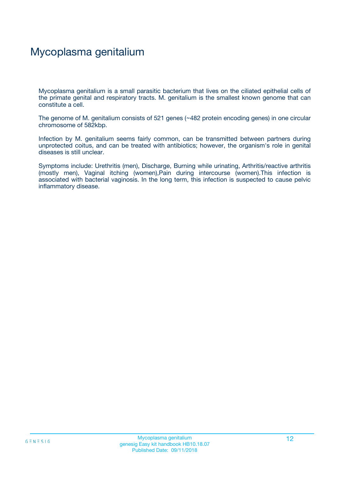## Mycoplasma genitalium

Mycoplasma genitalium is a small parasitic bacterium that lives on the ciliated epithelial cells of the primate genital and respiratory tracts. M. genitalium is the smallest known genome that can constitute a cell.

The genome of M. genitalium consists of 521 genes (~482 protein encoding genes) in one circular chromosome of 582kbp.

Infection by M. genitalium seems fairly common, can be transmitted between partners during unprotected coitus, and can be treated with antibiotics; however, the organism's role in genital diseases is still unclear.

Symptoms include: Urethritis (men), Discharge, Burning while urinating, Arthritis/reactive arthritis (mostly men), Vaginal itching (women),Pain during intercourse (women).This infection is associated with bacterial vaginosis. In the long term, this infection is suspected to cause pelvic inflammatory disease.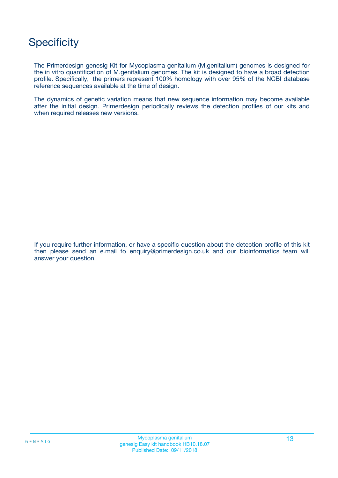## **Specificity**

The Primerdesign genesig Kit for Mycoplasma genitalium (M.genitalium) genomes is designed for the in vitro quantification of M.genitalium genomes. The kit is designed to have a broad detection profile. Specifically, the primers represent 100% homology with over 95% of the NCBI database reference sequences available at the time of design.

The dynamics of genetic variation means that new sequence information may become available after the initial design. Primerdesign periodically reviews the detection profiles of our kits and when required releases new versions.

If you require further information, or have a specific question about the detection profile of this kit then please send an e.mail to enquiry@primerdesign.co.uk and our bioinformatics team will answer your question.